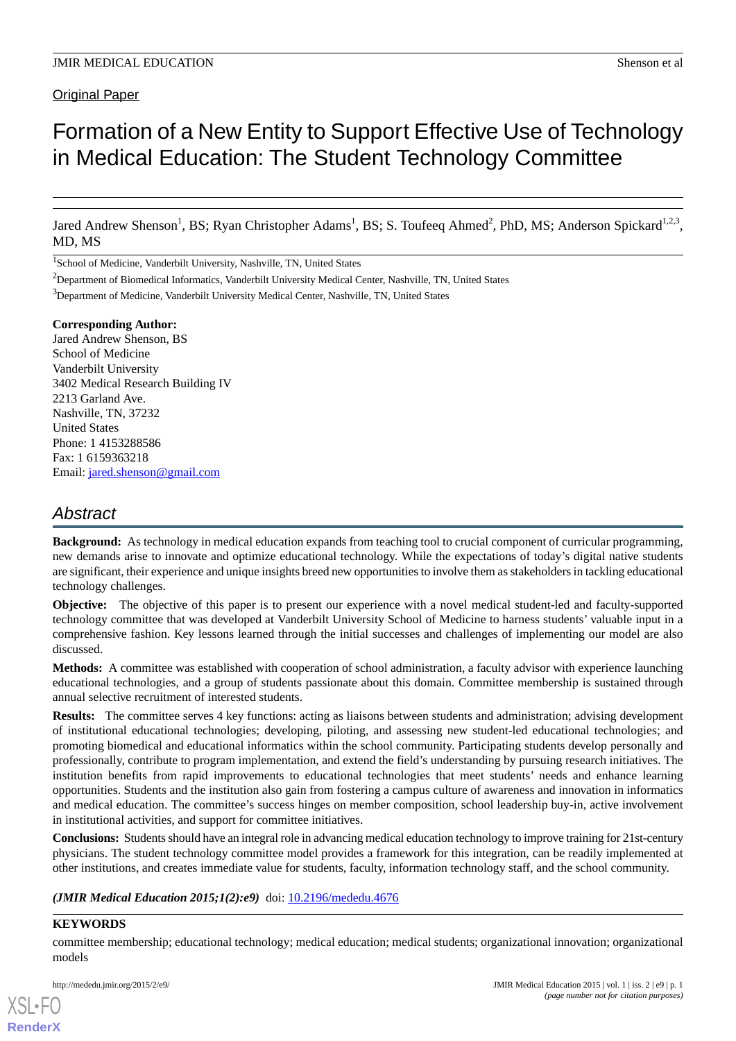Original Paper

# Formation of a New Entity to Support Effective Use of Technology in Medical Education: The Student Technology Committee

Jared Andrew Shenson<sup>1</sup>, BS; Ryan Christopher Adams<sup>1</sup>, BS; S. Toufeeq Ahmed<sup>2</sup>, PhD, MS; Anderson Spickard<sup>1,2,3</sup>, MD, MS

<sup>1</sup>School of Medicine, Vanderbilt University, Nashville, TN, United States

<sup>3</sup>Department of Medicine, Vanderbilt University Medical Center, Nashville, TN, United States

#### **Corresponding Author:**

Jared Andrew Shenson, BS School of Medicine Vanderbilt University 3402 Medical Research Building IV 2213 Garland Ave. Nashville, TN, 37232 United States Phone: 1 4153288586 Fax: 1 6159363218 Email: [jared.shenson@gmail.com](mailto:jared.shenson@gmail.com)

# *Abstract*

**Background:** As technology in medical education expands from teaching tool to crucial component of curricular programming, new demands arise to innovate and optimize educational technology. While the expectations of today's digital native students are significant, their experience and unique insights breed new opportunities to involve them as stakeholders in tackling educational technology challenges.

**Objective:** The objective of this paper is to present our experience with a novel medical student-led and faculty-supported technology committee that was developed at Vanderbilt University School of Medicine to harness students' valuable input in a comprehensive fashion. Key lessons learned through the initial successes and challenges of implementing our model are also discussed.

**Methods:** A committee was established with cooperation of school administration, a faculty advisor with experience launching educational technologies, and a group of students passionate about this domain. Committee membership is sustained through annual selective recruitment of interested students.

**Results:** The committee serves 4 key functions: acting as liaisons between students and administration; advising development of institutional educational technologies; developing, piloting, and assessing new student-led educational technologies; and promoting biomedical and educational informatics within the school community. Participating students develop personally and professionally, contribute to program implementation, and extend the field's understanding by pursuing research initiatives. The institution benefits from rapid improvements to educational technologies that meet students' needs and enhance learning opportunities. Students and the institution also gain from fostering a campus culture of awareness and innovation in informatics and medical education. The committee's success hinges on member composition, school leadership buy-in, active involvement in institutional activities, and support for committee initiatives.

**Conclusions:** Students should have an integral role in advancing medical education technology to improve training for 21st-century physicians. The student technology committee model provides a framework for this integration, can be readily implemented at other institutions, and creates immediate value for students, faculty, information technology staff, and the school community.

*(JMIR Medical Education 2015;1(2):e9)* doi: [10.2196/mededu.4676](http://dx.doi.org/10.2196/mededu.4676)

#### **KEYWORDS**

[XSL](http://www.w3.org/Style/XSL)•FO **[RenderX](http://www.renderx.com/)**

committee membership; educational technology; medical education; medical students; organizational innovation; organizational models

<sup>&</sup>lt;sup>2</sup>Department of Biomedical Informatics, Vanderbilt University Medical Center, Nashville, TN, United States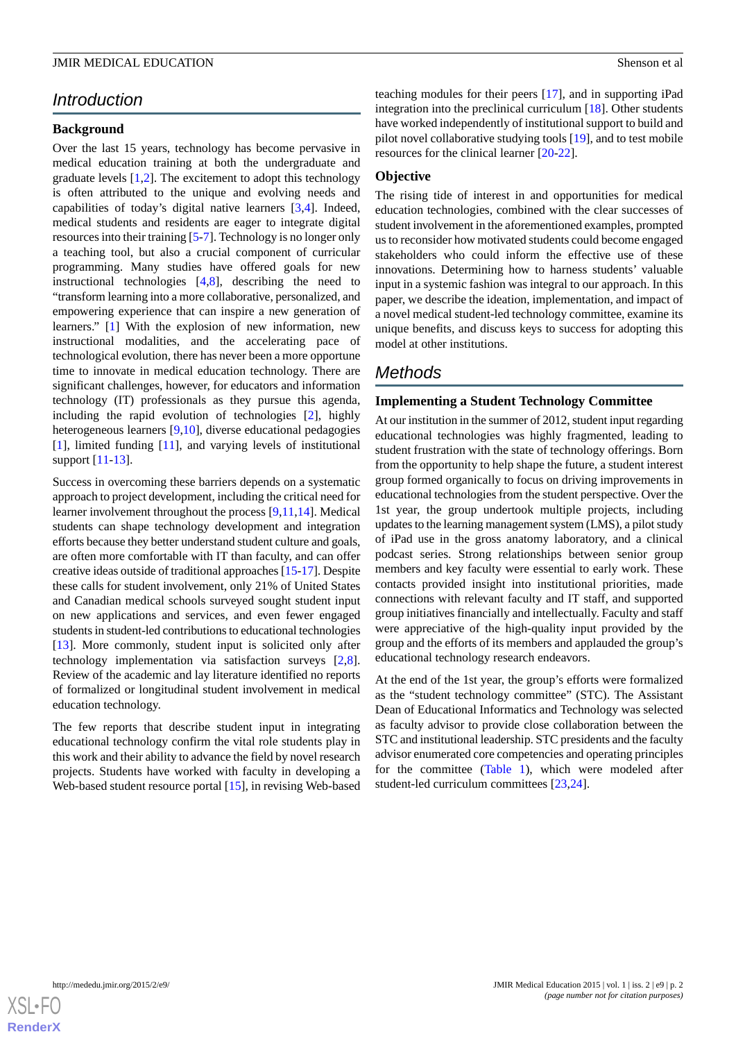# *Introduction*

#### **Background**

Over the last 15 years, technology has become pervasive in medical education training at both the undergraduate and graduate levels  $[1,2]$  $[1,2]$  $[1,2]$  $[1,2]$ . The excitement to adopt this technology is often attributed to the unique and evolving needs and capabilities of today's digital native learners [[3](#page-6-1)[,4](#page-6-2)]. Indeed, medical students and residents are eager to integrate digital resources into their training [\[5](#page-6-3)[-7](#page-6-4)]. Technology is no longer only a teaching tool, but also a crucial component of curricular programming. Many studies have offered goals for new instructional technologies [[4](#page-6-2)[,8](#page-6-5)], describing the need to "transform learning into a more collaborative, personalized, and empowering experience that can inspire a new generation of learners." [\[1\]](#page-5-0) With the explosion of new information, new instructional modalities, and the accelerating pace of technological evolution, there has never been a more opportune time to innovate in medical education technology. There are significant challenges, however, for educators and information technology (IT) professionals as they pursue this agenda, including the rapid evolution of technologies [\[2](#page-6-0)], highly heterogeneous learners [[9,](#page-6-6)[10](#page-6-7)], diverse educational pedagogies [[1\]](#page-5-0), limited funding [[11\]](#page-6-8), and varying levels of institutional support [\[11](#page-6-8)-[13\]](#page-6-9).

Success in overcoming these barriers depends on a systematic approach to project development, including the critical need for learner involvement throughout the process [[9,](#page-6-6)[11](#page-6-8),[14\]](#page-6-10). Medical students can shape technology development and integration efforts because they better understand student culture and goals, are often more comfortable with IT than faculty, and can offer creative ideas outside of traditional approaches [[15](#page-6-11)-[17\]](#page-6-12). Despite these calls for student involvement, only 21% of United States and Canadian medical schools surveyed sought student input on new applications and services, and even fewer engaged students in student-led contributions to educational technologies [[13\]](#page-6-9). More commonly, student input is solicited only after technology implementation via satisfaction surveys [\[2](#page-6-0),[8\]](#page-6-5). Review of the academic and lay literature identified no reports of formalized or longitudinal student involvement in medical education technology.

The few reports that describe student input in integrating educational technology confirm the vital role students play in this work and their ability to advance the field by novel research projects. Students have worked with faculty in developing a Web-based student resource portal [\[15](#page-6-11)], in revising Web-based

teaching modules for their peers [[17\]](#page-6-12), and in supporting iPad integration into the preclinical curriculum [\[18](#page-6-13)]. Other students have worked independently of institutional support to build and pilot novel collaborative studying tools [\[19](#page-6-14)], and to test mobile resources for the clinical learner [\[20](#page-6-15)-[22\]](#page-6-16).

#### **Objective**

The rising tide of interest in and opportunities for medical education technologies, combined with the clear successes of student involvement in the aforementioned examples, prompted us to reconsider how motivated students could become engaged stakeholders who could inform the effective use of these innovations. Determining how to harness students' valuable input in a systemic fashion was integral to our approach. In this paper, we describe the ideation, implementation, and impact of a novel medical student-led technology committee, examine its unique benefits, and discuss keys to success for adopting this model at other institutions.

# *Methods*

#### **Implementing a Student Technology Committee**

At our institution in the summer of 2012, student input regarding educational technologies was highly fragmented, leading to student frustration with the state of technology offerings. Born from the opportunity to help shape the future, a student interest group formed organically to focus on driving improvements in educational technologies from the student perspective. Over the 1st year, the group undertook multiple projects, including updates to the learning management system (LMS), a pilot study of iPad use in the gross anatomy laboratory, and a clinical podcast series. Strong relationships between senior group members and key faculty were essential to early work. These contacts provided insight into institutional priorities, made connections with relevant faculty and IT staff, and supported group initiatives financially and intellectually. Faculty and staff were appreciative of the high-quality input provided by the group and the efforts of its members and applauded the group's educational technology research endeavors.

At the end of the 1st year, the group's efforts were formalized as the "student technology committee" (STC). The Assistant Dean of Educational Informatics and Technology was selected as faculty advisor to provide close collaboration between the STC and institutional leadership. STC presidents and the faculty advisor enumerated core competencies and operating principles for the committee ([Table 1](#page-2-0)), which were modeled after student-led curriculum committees [[23](#page-6-17)[,24](#page-6-18)].

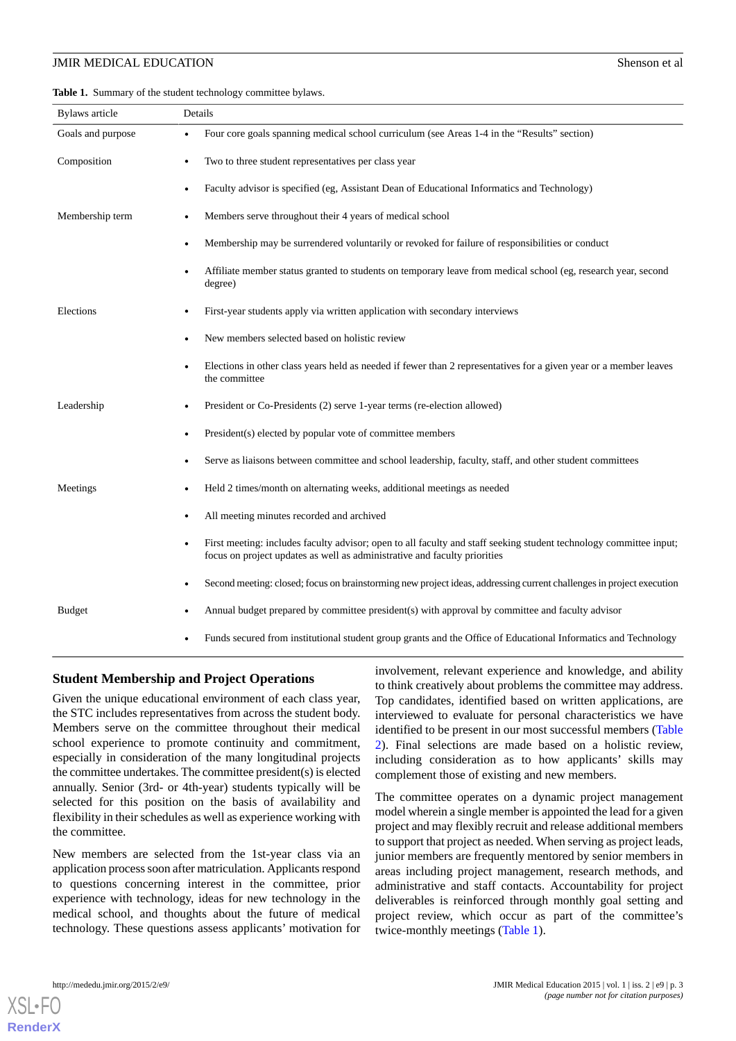<span id="page-2-0"></span>**Table 1.** Summary of the student technology committee bylaws.

| <b>Bylaws</b> article | Details                                                                                                                                                                                         |  |  |  |
|-----------------------|-------------------------------------------------------------------------------------------------------------------------------------------------------------------------------------------------|--|--|--|
| Goals and purpose     | Four core goals spanning medical school curriculum (see Areas 1-4 in the "Results" section)                                                                                                     |  |  |  |
| Composition           | Two to three student representatives per class year                                                                                                                                             |  |  |  |
|                       | Faculty advisor is specified (eg, Assistant Dean of Educational Informatics and Technology)                                                                                                     |  |  |  |
| Membership term       | Members serve throughout their 4 years of medical school                                                                                                                                        |  |  |  |
|                       | Membership may be surrendered voluntarily or revoked for failure of responsibilities or conduct                                                                                                 |  |  |  |
|                       | Affiliate member status granted to students on temporary leave from medical school (eg, research year, second<br>degree)                                                                        |  |  |  |
| Elections             | First-year students apply via written application with secondary interviews                                                                                                                     |  |  |  |
|                       | New members selected based on holistic review                                                                                                                                                   |  |  |  |
|                       | Elections in other class years held as needed if fewer than 2 representatives for a given year or a member leaves<br>the committee                                                              |  |  |  |
| Leadership            | President or Co-Presidents (2) serve 1-year terms (re-election allowed)                                                                                                                         |  |  |  |
|                       | President(s) elected by popular vote of committee members                                                                                                                                       |  |  |  |
|                       | Serve as liaisons between committee and school leadership, faculty, staff, and other student committees                                                                                         |  |  |  |
| Meetings              | Held 2 times/month on alternating weeks, additional meetings as needed                                                                                                                          |  |  |  |
|                       | All meeting minutes recorded and archived                                                                                                                                                       |  |  |  |
|                       | First meeting: includes faculty advisor; open to all faculty and staff seeking student technology committee input;<br>focus on project updates as well as administrative and faculty priorities |  |  |  |
|                       | Second meeting: closed; focus on brainstorming new project ideas, addressing current challenges in project execution                                                                            |  |  |  |
| <b>Budget</b>         | Annual budget prepared by committee president(s) with approval by committee and faculty advisor                                                                                                 |  |  |  |
|                       | Funds secured from institutional student group grants and the Office of Educational Informatics and Technology                                                                                  |  |  |  |

#### **Student Membership and Project Operations**

Given the unique educational environment of each class year, the STC includes representatives from across the student body. Members serve on the committee throughout their medical school experience to promote continuity and commitment, especially in consideration of the many longitudinal projects the committee undertakes. The committee president(s) is elected annually. Senior (3rd- or 4th-year) students typically will be selected for this position on the basis of availability and flexibility in their schedules as well as experience working with the committee.

New members are selected from the 1st-year class via an application process soon after matriculation. Applicants respond to questions concerning interest in the committee, prior experience with technology, ideas for new technology in the medical school, and thoughts about the future of medical technology. These questions assess applicants' motivation for involvement, relevant experience and knowledge, and ability to think creatively about problems the committee may address. Top candidates, identified based on written applications, are interviewed to evaluate for personal characteristics we have identified to be present in our most successful members ([Table](#page-3-0) [2\)](#page-3-0). Final selections are made based on a holistic review, including consideration as to how applicants' skills may complement those of existing and new members.

The committee operates on a dynamic project management model wherein a single member is appointed the lead for a given project and may flexibly recruit and release additional members to support that project as needed. When serving as project leads, junior members are frequently mentored by senior members in areas including project management, research methods, and administrative and staff contacts. Accountability for project deliverables is reinforced through monthly goal setting and project review, which occur as part of the committee's twice-monthly meetings [\(Table 1\)](#page-2-0).

[XSL](http://www.w3.org/Style/XSL)•FO **[RenderX](http://www.renderx.com/)**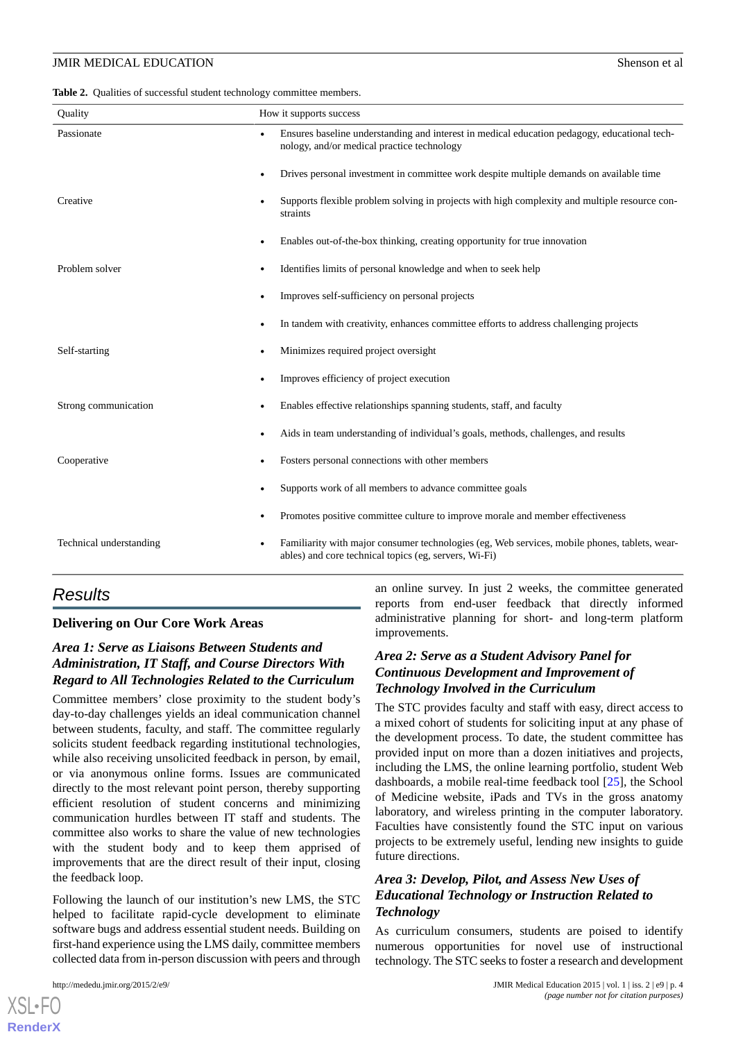<span id="page-3-0"></span>

|  | <b>Table 2.</b> Qualities of successful student technology committee members. |  |  |  |  |  |
|--|-------------------------------------------------------------------------------|--|--|--|--|--|
|--|-------------------------------------------------------------------------------|--|--|--|--|--|

| Quality                              | How it supports success                                                                                                                                |  |  |  |
|--------------------------------------|--------------------------------------------------------------------------------------------------------------------------------------------------------|--|--|--|
| Passionate<br>$\bullet$              | Ensures baseline understanding and interest in medical education pedagogy, educational tech-<br>nology, and/or medical practice technology             |  |  |  |
| $\bullet$                            | Drives personal investment in committee work despite multiple demands on available time                                                                |  |  |  |
| Creative<br>٠                        | Supports flexible problem solving in projects with high complexity and multiple resource con-<br>straints                                              |  |  |  |
| $\bullet$                            | Enables out-of-the-box thinking, creating opportunity for true innovation                                                                              |  |  |  |
| Problem solver<br>$\bullet$          | Identifies limits of personal knowledge and when to seek help                                                                                          |  |  |  |
| $\bullet$                            | Improves self-sufficiency on personal projects                                                                                                         |  |  |  |
| $\bullet$                            | In tandem with creativity, enhances committee efforts to address challenging projects                                                                  |  |  |  |
| Self-starting                        | Minimizes required project oversight<br>$\bullet$                                                                                                      |  |  |  |
| $\bullet$                            | Improves efficiency of project execution                                                                                                               |  |  |  |
| Strong communication                 | Enables effective relationships spanning students, staff, and faculty                                                                                  |  |  |  |
| $\bullet$                            | Aids in team understanding of individual's goals, methods, challenges, and results                                                                     |  |  |  |
| Cooperative<br>٠                     | Fosters personal connections with other members                                                                                                        |  |  |  |
| ٠                                    | Supports work of all members to advance committee goals                                                                                                |  |  |  |
| $\bullet$                            | Promotes positive committee culture to improve morale and member effectiveness                                                                         |  |  |  |
| Technical understanding<br>$\bullet$ | Familiarity with major consumer technologies (eg, Web services, mobile phones, tablets, wear-<br>ables) and core technical topics (eg, servers, Wi-Fi) |  |  |  |

# *Results*

#### **Delivering on Our Core Work Areas**

# *Area 1: Serve as Liaisons Between Students and Administration, IT Staff, and Course Directors With Regard to All Technologies Related to the Curriculum*

Committee members' close proximity to the student body's day-to-day challenges yields an ideal communication channel between students, faculty, and staff. The committee regularly solicits student feedback regarding institutional technologies, while also receiving unsolicited feedback in person, by email, or via anonymous online forms. Issues are communicated directly to the most relevant point person, thereby supporting efficient resolution of student concerns and minimizing communication hurdles between IT staff and students. The committee also works to share the value of new technologies with the student body and to keep them apprised of improvements that are the direct result of their input, closing the feedback loop.

Following the launch of our institution's new LMS, the STC helped to facilitate rapid-cycle development to eliminate software bugs and address essential student needs. Building on first-hand experience using the LMS daily, committee members collected data from in-person discussion with peers and through

an online survey. In just 2 weeks, the committee generated reports from end-user feedback that directly informed administrative planning for short- and long-term platform improvements.

# *Area 2: Serve as a Student Advisory Panel for Continuous Development and Improvement of Technology Involved in the Curriculum*

The STC provides faculty and staff with easy, direct access to a mixed cohort of students for soliciting input at any phase of the development process. To date, the student committee has provided input on more than a dozen initiatives and projects, including the LMS, the online learning portfolio, student Web dashboards, a mobile real-time feedback tool [\[25](#page-6-19)], the School of Medicine website, iPads and TVs in the gross anatomy laboratory, and wireless printing in the computer laboratory. Faculties have consistently found the STC input on various projects to be extremely useful, lending new insights to guide future directions.

# *Area 3: Develop, Pilot, and Assess New Uses of Educational Technology or Instruction Related to Technology*

As curriculum consumers, students are poised to identify numerous opportunities for novel use of instructional technology. The STC seeks to foster a research and development

```
XSL•FO
RenderX
```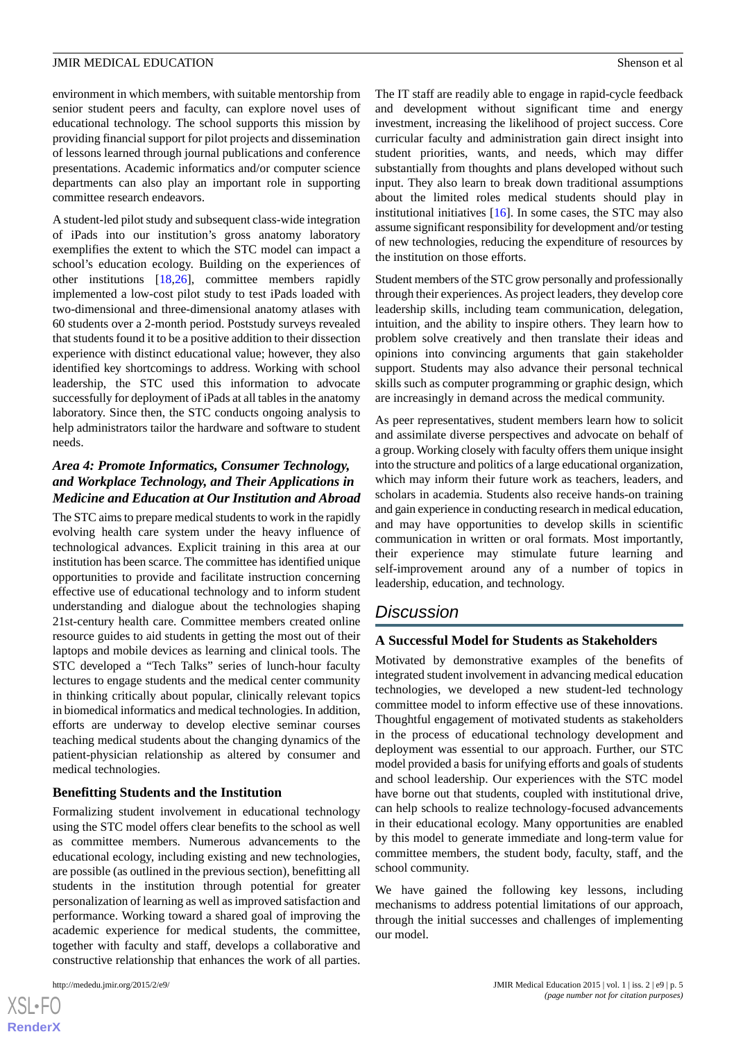environment in which members, with suitable mentorship from senior student peers and faculty, can explore novel uses of educational technology. The school supports this mission by providing financial support for pilot projects and dissemination of lessons learned through journal publications and conference presentations. Academic informatics and/or computer science departments can also play an important role in supporting committee research endeavors.

A student-led pilot study and subsequent class-wide integration of iPads into our institution's gross anatomy laboratory exemplifies the extent to which the STC model can impact a school's education ecology. Building on the experiences of other institutions [[18,](#page-6-13)[26\]](#page-6-20), committee members rapidly implemented a low-cost pilot study to test iPads loaded with two-dimensional and three-dimensional anatomy atlases with 60 students over a 2-month period. Poststudy surveys revealed that students found it to be a positive addition to their dissection experience with distinct educational value; however, they also identified key shortcomings to address. Working with school leadership, the STC used this information to advocate successfully for deployment of iPads at all tables in the anatomy laboratory. Since then, the STC conducts ongoing analysis to help administrators tailor the hardware and software to student needs.

# *Area 4: Promote Informatics, Consumer Technology, and Workplace Technology, and Their Applications in Medicine and Education at Our Institution and Abroad*

The STC aims to prepare medical students to work in the rapidly evolving health care system under the heavy influence of technological advances. Explicit training in this area at our institution has been scarce. The committee has identified unique opportunities to provide and facilitate instruction concerning effective use of educational technology and to inform student understanding and dialogue about the technologies shaping 21st-century health care. Committee members created online resource guides to aid students in getting the most out of their laptops and mobile devices as learning and clinical tools. The STC developed a "Tech Talks" series of lunch-hour faculty lectures to engage students and the medical center community in thinking critically about popular, clinically relevant topics in biomedical informatics and medical technologies. In addition, efforts are underway to develop elective seminar courses teaching medical students about the changing dynamics of the patient-physician relationship as altered by consumer and medical technologies.

## **Benefitting Students and the Institution**

Formalizing student involvement in educational technology using the STC model offers clear benefits to the school as well as committee members. Numerous advancements to the educational ecology, including existing and new technologies, are possible (as outlined in the previous section), benefitting all students in the institution through potential for greater personalization of learning as well as improved satisfaction and performance. Working toward a shared goal of improving the academic experience for medical students, the committee, together with faculty and staff, develops a collaborative and constructive relationship that enhances the work of all parties.

The IT staff are readily able to engage in rapid-cycle feedback and development without significant time and energy investment, increasing the likelihood of project success. Core curricular faculty and administration gain direct insight into student priorities, wants, and needs, which may differ substantially from thoughts and plans developed without such input. They also learn to break down traditional assumptions about the limited roles medical students should play in institutional initiatives [[16\]](#page-6-21). In some cases, the STC may also assume significant responsibility for development and/or testing of new technologies, reducing the expenditure of resources by the institution on those efforts.

Student members of the STC grow personally and professionally through their experiences. As project leaders, they develop core leadership skills, including team communication, delegation, intuition, and the ability to inspire others. They learn how to problem solve creatively and then translate their ideas and opinions into convincing arguments that gain stakeholder support. Students may also advance their personal technical skills such as computer programming or graphic design, which are increasingly in demand across the medical community.

As peer representatives, student members learn how to solicit and assimilate diverse perspectives and advocate on behalf of a group. Working closely with faculty offers them unique insight into the structure and politics of a large educational organization, which may inform their future work as teachers, leaders, and scholars in academia. Students also receive hands-on training and gain experience in conducting research in medical education, and may have opportunities to develop skills in scientific communication in written or oral formats. Most importantly, their experience may stimulate future learning and self-improvement around any of a number of topics in leadership, education, and technology.

# *Discussion*

## **A Successful Model for Students as Stakeholders**

Motivated by demonstrative examples of the benefits of integrated student involvement in advancing medical education technologies, we developed a new student-led technology committee model to inform effective use of these innovations. Thoughtful engagement of motivated students as stakeholders in the process of educational technology development and deployment was essential to our approach. Further, our STC model provided a basis for unifying efforts and goals of students and school leadership. Our experiences with the STC model have borne out that students, coupled with institutional drive, can help schools to realize technology-focused advancements in their educational ecology. Many opportunities are enabled by this model to generate immediate and long-term value for committee members, the student body, faculty, staff, and the school community.

We have gained the following key lessons, including mechanisms to address potential limitations of our approach, through the initial successes and challenges of implementing our model.

```
XS-FO
RenderX
```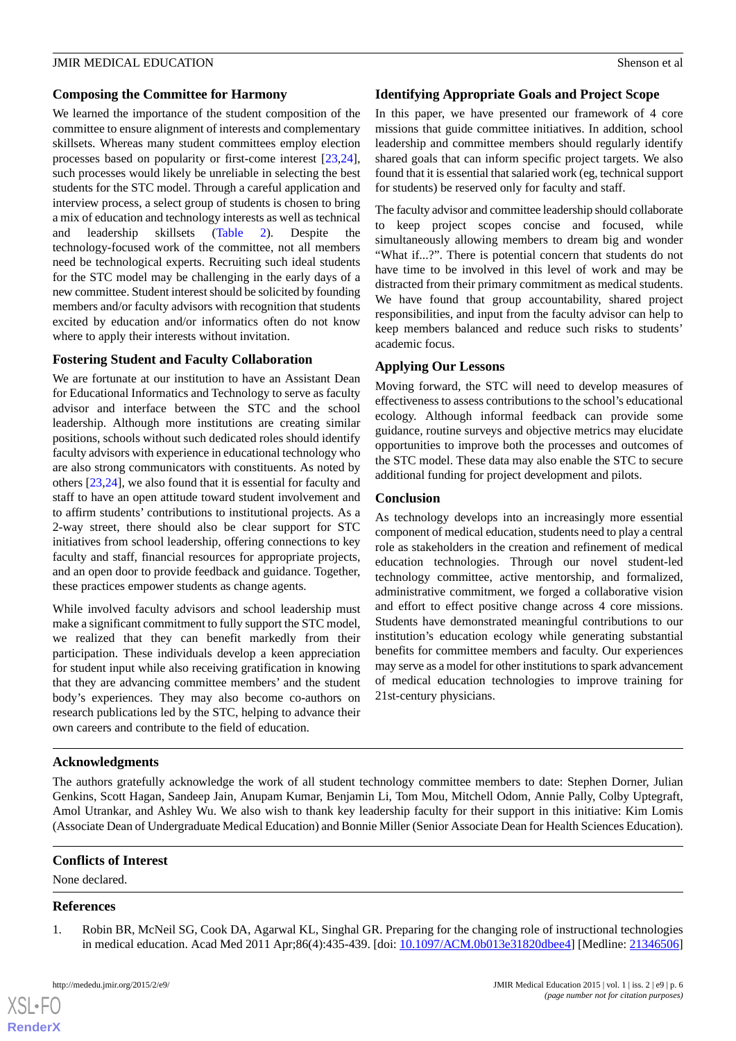#### **Composing the Committee for Harmony**

We learned the importance of the student composition of the committee to ensure alignment of interests and complementary skillsets. Whereas many student committees employ election processes based on popularity or first-come interest [\[23](#page-6-17),[24\]](#page-6-18), such processes would likely be unreliable in selecting the best students for the STC model. Through a careful application and interview process, a select group of students is chosen to bring a mix of education and technology interests as well as technical and leadership skillsets ([Table 2\)](#page-3-0). Despite the technology-focused work of the committee, not all members need be technological experts. Recruiting such ideal students for the STC model may be challenging in the early days of a new committee. Student interest should be solicited by founding members and/or faculty advisors with recognition that students excited by education and/or informatics often do not know where to apply their interests without invitation.

## **Fostering Student and Faculty Collaboration**

We are fortunate at our institution to have an Assistant Dean for Educational Informatics and Technology to serve as faculty advisor and interface between the STC and the school leadership. Although more institutions are creating similar positions, schools without such dedicated roles should identify faculty advisors with experience in educational technology who are also strong communicators with constituents. As noted by others [[23,](#page-6-17)[24](#page-6-18)], we also found that it is essential for faculty and staff to have an open attitude toward student involvement and to affirm students' contributions to institutional projects. As a 2-way street, there should also be clear support for STC initiatives from school leadership, offering connections to key faculty and staff, financial resources for appropriate projects, and an open door to provide feedback and guidance. Together, these practices empower students as change agents.

While involved faculty advisors and school leadership must make a significant commitment to fully support the STC model, we realized that they can benefit markedly from their participation. These individuals develop a keen appreciation for student input while also receiving gratification in knowing that they are advancing committee members' and the student body's experiences. They may also become co-authors on research publications led by the STC, helping to advance their own careers and contribute to the field of education.

## **Identifying Appropriate Goals and Project Scope**

In this paper, we have presented our framework of 4 core missions that guide committee initiatives. In addition, school leadership and committee members should regularly identify shared goals that can inform specific project targets. We also found that it is essential that salaried work (eg, technical support for students) be reserved only for faculty and staff.

The faculty advisor and committee leadership should collaborate to keep project scopes concise and focused, while simultaneously allowing members to dream big and wonder "What if...?". There is potential concern that students do not have time to be involved in this level of work and may be distracted from their primary commitment as medical students. We have found that group accountability, shared project responsibilities, and input from the faculty advisor can help to keep members balanced and reduce such risks to students' academic focus.

## **Applying Our Lessons**

Moving forward, the STC will need to develop measures of effectiveness to assess contributions to the school's educational ecology. Although informal feedback can provide some guidance, routine surveys and objective metrics may elucidate opportunities to improve both the processes and outcomes of the STC model. These data may also enable the STC to secure additional funding for project development and pilots.

## **Conclusion**

As technology develops into an increasingly more essential component of medical education, students need to play a central role as stakeholders in the creation and refinement of medical education technologies. Through our novel student-led technology committee, active mentorship, and formalized, administrative commitment, we forged a collaborative vision and effort to effect positive change across 4 core missions. Students have demonstrated meaningful contributions to our institution's education ecology while generating substantial benefits for committee members and faculty. Our experiences may serve as a model for other institutions to spark advancement of medical education technologies to improve training for 21st-century physicians.

## **Acknowledgments**

The authors gratefully acknowledge the work of all student technology committee members to date: Stephen Dorner, Julian Genkins, Scott Hagan, Sandeep Jain, Anupam Kumar, Benjamin Li, Tom Mou, Mitchell Odom, Annie Pally, Colby Uptegraft, Amol Utrankar, and Ashley Wu. We also wish to thank key leadership faculty for their support in this initiative: Kim Lomis (Associate Dean of Undergraduate Medical Education) and Bonnie Miller (Senior Associate Dean for Health Sciences Education).

#### <span id="page-5-0"></span>**Conflicts of Interest**

None declared.

#### **References**

[XSL](http://www.w3.org/Style/XSL)•FO **[RenderX](http://www.renderx.com/)**

1. Robin BR, McNeil SG, Cook DA, Agarwal KL, Singhal GR. Preparing for the changing role of instructional technologies in medical education. Acad Med 2011 Apr;86(4):435-439. [doi: [10.1097/ACM.0b013e31820dbee4\]](http://dx.doi.org/10.1097/ACM.0b013e31820dbee4) [Medline: [21346506](http://www.ncbi.nlm.nih.gov/entrez/query.fcgi?cmd=Retrieve&db=PubMed&list_uids=21346506&dopt=Abstract)]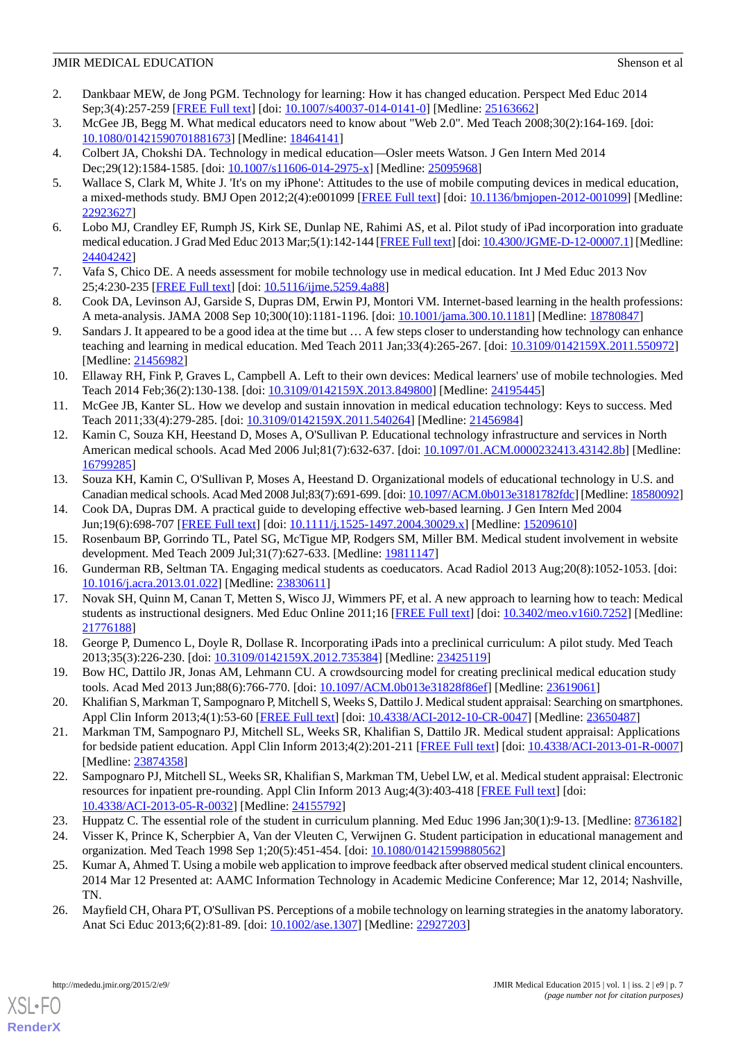- <span id="page-6-0"></span>2. Dankbaar MEW, de Jong PGM. Technology for learning: How it has changed education. Perspect Med Educ 2014 Sep;3(4):257-259 [[FREE Full text](http://europepmc.org/abstract/MED/25163662)] [doi: [10.1007/s40037-014-0141-0\]](http://dx.doi.org/10.1007/s40037-014-0141-0) [Medline: [25163662](http://www.ncbi.nlm.nih.gov/entrez/query.fcgi?cmd=Retrieve&db=PubMed&list_uids=25163662&dopt=Abstract)]
- <span id="page-6-2"></span><span id="page-6-1"></span>3. McGee JB, Begg M. What medical educators need to know about "Web 2.0". Med Teach 2008;30(2):164-169. [doi: [10.1080/01421590701881673\]](http://dx.doi.org/10.1080/01421590701881673) [Medline: [18464141\]](http://www.ncbi.nlm.nih.gov/entrez/query.fcgi?cmd=Retrieve&db=PubMed&list_uids=18464141&dopt=Abstract)
- <span id="page-6-3"></span>4. Colbert JA, Chokshi DA. Technology in medical education—Osler meets Watson. J Gen Intern Med 2014 Dec; 29(12): 1584-1585. [doi:  $\frac{10.1007}{s}11606 - 014 - 2975 - x$ ] [Medline: [25095968](http://www.ncbi.nlm.nih.gov/entrez/query.fcgi?cmd=Retrieve&db=PubMed&list_uids=25095968&dopt=Abstract)]
- 5. Wallace S, Clark M, White J. 'It's on my iPhone': Attitudes to the use of mobile computing devices in medical education, a mixed-methods study. BMJ Open 2012;2(4):e001099 [[FREE Full text](http://bmjopen.bmj.com/cgi/pmidlookup?view=long&pmid=22923627)] [doi: [10.1136/bmjopen-2012-001099](http://dx.doi.org/10.1136/bmjopen-2012-001099)] [Medline: [22923627](http://www.ncbi.nlm.nih.gov/entrez/query.fcgi?cmd=Retrieve&db=PubMed&list_uids=22923627&dopt=Abstract)]
- <span id="page-6-4"></span>6. Lobo MJ, Crandley EF, Rumph JS, Kirk SE, Dunlap NE, Rahimi AS, et al. Pilot study of iPad incorporation into graduate medical education. J Grad Med Educ 2013 Mar;5(1):142-144 [[FREE Full text](http://europepmc.org/abstract/MED/24404242)] [doi: [10.4300/JGME-D-12-00007.1](http://dx.doi.org/10.4300/JGME-D-12-00007.1)] [Medline: [24404242](http://www.ncbi.nlm.nih.gov/entrez/query.fcgi?cmd=Retrieve&db=PubMed&list_uids=24404242&dopt=Abstract)]
- <span id="page-6-5"></span>7. Vafa S, Chico DE. A needs assessment for mobile technology use in medical education. Int J Med Educ 2013 Nov 25;4:230-235 [\[FREE Full text\]](http://www.ijme.net/archive/4/mobile-technology-in-medical-education/) [doi: [10.5116/ijme.5259.4a88](http://dx.doi.org/10.5116/ijme.5259.4a88)]
- <span id="page-6-6"></span>8. Cook DA, Levinson AJ, Garside S, Dupras DM, Erwin PJ, Montori VM. Internet-based learning in the health professions: A meta-analysis. JAMA 2008 Sep 10;300(10):1181-1196. [doi: [10.1001/jama.300.10.1181\]](http://dx.doi.org/10.1001/jama.300.10.1181) [Medline: [18780847](http://www.ncbi.nlm.nih.gov/entrez/query.fcgi?cmd=Retrieve&db=PubMed&list_uids=18780847&dopt=Abstract)]
- <span id="page-6-7"></span>9. Sandars J. It appeared to be a good idea at the time but … A few steps closer to understanding how technology can enhance teaching and learning in medical education. Med Teach 2011 Jan;33(4):265-267. [doi: [10.3109/0142159X.2011.550972\]](http://dx.doi.org/10.3109/0142159X.2011.550972) [Medline: [21456982](http://www.ncbi.nlm.nih.gov/entrez/query.fcgi?cmd=Retrieve&db=PubMed&list_uids=21456982&dopt=Abstract)]
- <span id="page-6-8"></span>10. Ellaway RH, Fink P, Graves L, Campbell A. Left to their own devices: Medical learners' use of mobile technologies. Med Teach 2014 Feb;36(2):130-138. [doi: [10.3109/0142159X.2013.849800\]](http://dx.doi.org/10.3109/0142159X.2013.849800) [Medline: [24195445\]](http://www.ncbi.nlm.nih.gov/entrez/query.fcgi?cmd=Retrieve&db=PubMed&list_uids=24195445&dopt=Abstract)
- 11. McGee JB, Kanter SL. How we develop and sustain innovation in medical education technology: Keys to success. Med Teach 2011;33(4):279-285. [doi: [10.3109/0142159X.2011.540264](http://dx.doi.org/10.3109/0142159X.2011.540264)] [Medline: [21456984\]](http://www.ncbi.nlm.nih.gov/entrez/query.fcgi?cmd=Retrieve&db=PubMed&list_uids=21456984&dopt=Abstract)
- <span id="page-6-9"></span>12. Kamin C, Souza KH, Heestand D, Moses A, O'Sullivan P. Educational technology infrastructure and services in North American medical schools. Acad Med 2006 Jul;81(7):632-637. [doi: [10.1097/01.ACM.0000232413.43142.8b\]](http://dx.doi.org/10.1097/01.ACM.0000232413.43142.8b) [Medline: [16799285](http://www.ncbi.nlm.nih.gov/entrez/query.fcgi?cmd=Retrieve&db=PubMed&list_uids=16799285&dopt=Abstract)]
- <span id="page-6-11"></span><span id="page-6-10"></span>13. Souza KH, Kamin C, O'Sullivan P, Moses A, Heestand D. Organizational models of educational technology in U.S. and Canadian medical schools. Acad Med 2008 Jul;83(7):691-699. [doi: [10.1097/ACM.0b013e3181782fdc\]](http://dx.doi.org/10.1097/ACM.0b013e3181782fdc) [Medline: [18580092\]](http://www.ncbi.nlm.nih.gov/entrez/query.fcgi?cmd=Retrieve&db=PubMed&list_uids=18580092&dopt=Abstract)
- <span id="page-6-21"></span>14. Cook DA, Dupras DM. A practical guide to developing effective web-based learning. J Gen Intern Med 2004 Jun;19(6):698-707 [[FREE Full text](http://europepmc.org/abstract/MED/15209610)] [doi: [10.1111/j.1525-1497.2004.30029.x\]](http://dx.doi.org/10.1111/j.1525-1497.2004.30029.x) [Medline: [15209610\]](http://www.ncbi.nlm.nih.gov/entrez/query.fcgi?cmd=Retrieve&db=PubMed&list_uids=15209610&dopt=Abstract)
- <span id="page-6-12"></span>15. Rosenbaum BP, Gorrindo TL, Patel SG, McTigue MP, Rodgers SM, Miller BM. Medical student involvement in website development. Med Teach 2009 Jul;31(7):627-633. [Medline: [19811147\]](http://www.ncbi.nlm.nih.gov/entrez/query.fcgi?cmd=Retrieve&db=PubMed&list_uids=19811147&dopt=Abstract)
- <span id="page-6-13"></span>16. Gunderman RB, Seltman TA. Engaging medical students as coeducators. Acad Radiol 2013 Aug;20(8):1052-1053. [doi: [10.1016/j.acra.2013.01.022](http://dx.doi.org/10.1016/j.acra.2013.01.022)] [Medline: [23830611](http://www.ncbi.nlm.nih.gov/entrez/query.fcgi?cmd=Retrieve&db=PubMed&list_uids=23830611&dopt=Abstract)]
- <span id="page-6-14"></span>17. Novak SH, Quinn M, Canan T, Metten S, Wisco JJ, Wimmers PF, et al. A new approach to learning how to teach: Medical students as instructional designers. Med Educ Online 2011;16 [[FREE Full text](http://europepmc.org/abstract/MED/21776188)] [doi: [10.3402/meo.v16i0.7252\]](http://dx.doi.org/10.3402/meo.v16i0.7252) [Medline: [21776188](http://www.ncbi.nlm.nih.gov/entrez/query.fcgi?cmd=Retrieve&db=PubMed&list_uids=21776188&dopt=Abstract)]
- <span id="page-6-15"></span>18. George P, Dumenco L, Doyle R, Dollase R. Incorporating iPads into a preclinical curriculum: A pilot study. Med Teach 2013;35(3):226-230. [doi: [10.3109/0142159X.2012.735384\]](http://dx.doi.org/10.3109/0142159X.2012.735384) [Medline: [23425119\]](http://www.ncbi.nlm.nih.gov/entrez/query.fcgi?cmd=Retrieve&db=PubMed&list_uids=23425119&dopt=Abstract)
- 19. Bow HC, Dattilo JR, Jonas AM, Lehmann CU. A crowdsourcing model for creating preclinical medical education study tools. Acad Med 2013 Jun;88(6):766-770. [doi: [10.1097/ACM.0b013e31828f86ef](http://dx.doi.org/10.1097/ACM.0b013e31828f86ef)] [Medline: [23619061](http://www.ncbi.nlm.nih.gov/entrez/query.fcgi?cmd=Retrieve&db=PubMed&list_uids=23619061&dopt=Abstract)]
- <span id="page-6-16"></span>20. Khalifian S, Markman T, Sampognaro P, Mitchell S, Weeks S, Dattilo J. Medical student appraisal: Searching on smartphones. Appl Clin Inform 2013;4(1):53-60 [\[FREE Full text\]](http://europepmc.org/abstract/MED/23650487) [doi: [10.4338/ACI-2012-10-CR-0047\]](http://dx.doi.org/10.4338/ACI-2012-10-CR-0047) [Medline: [23650487\]](http://www.ncbi.nlm.nih.gov/entrez/query.fcgi?cmd=Retrieve&db=PubMed&list_uids=23650487&dopt=Abstract)
- <span id="page-6-18"></span><span id="page-6-17"></span>21. Markman TM, Sampognaro PJ, Mitchell SL, Weeks SR, Khalifian S, Dattilo JR. Medical student appraisal: Applications for bedside patient education. Appl Clin Inform 2013;4(2):201-211 [\[FREE Full text](http://europepmc.org/abstract/MED/23874358)] [doi: [10.4338/ACI-2013-01-R-0007](http://dx.doi.org/10.4338/ACI-2013-01-R-0007)] [Medline: [23874358](http://www.ncbi.nlm.nih.gov/entrez/query.fcgi?cmd=Retrieve&db=PubMed&list_uids=23874358&dopt=Abstract)]
- <span id="page-6-19"></span>22. Sampognaro PJ, Mitchell SL, Weeks SR, Khalifian S, Markman TM, Uebel LW, et al. Medical student appraisal: Electronic resources for inpatient pre-rounding. Appl Clin Inform 2013 Aug;4(3):403-418 [\[FREE Full text\]](http://europepmc.org/abstract/MED/24155792) [doi: [10.4338/ACI-2013-05-R-0032\]](http://dx.doi.org/10.4338/ACI-2013-05-R-0032) [Medline: [24155792](http://www.ncbi.nlm.nih.gov/entrez/query.fcgi?cmd=Retrieve&db=PubMed&list_uids=24155792&dopt=Abstract)]
- <span id="page-6-20"></span>23. Huppatz C. The essential role of the student in curriculum planning. Med Educ 1996 Jan;30(1):9-13. [Medline: [8736182](http://www.ncbi.nlm.nih.gov/entrez/query.fcgi?cmd=Retrieve&db=PubMed&list_uids=8736182&dopt=Abstract)]
- 24. Visser K, Prince K, Scherpbier A, Van der Vleuten C, Verwijnen G. Student participation in educational management and organization. Med Teach 1998 Sep 1;20(5):451-454. [doi: [10.1080/01421599880562\]](http://dx.doi.org/10.1080/01421599880562)
- 25. Kumar A, Ahmed T. Using a mobile web application to improve feedback after observed medical student clinical encounters. 2014 Mar 12 Presented at: AAMC Information Technology in Academic Medicine Conference; Mar 12, 2014; Nashville, TN.
- 26. Mayfield CH, Ohara PT, O'Sullivan PS. Perceptions of a mobile technology on learning strategies in the anatomy laboratory. Anat Sci Educ 2013;6(2):81-89. [doi: [10.1002/ase.1307](http://dx.doi.org/10.1002/ase.1307)] [Medline: [22927203](http://www.ncbi.nlm.nih.gov/entrez/query.fcgi?cmd=Retrieve&db=PubMed&list_uids=22927203&dopt=Abstract)]